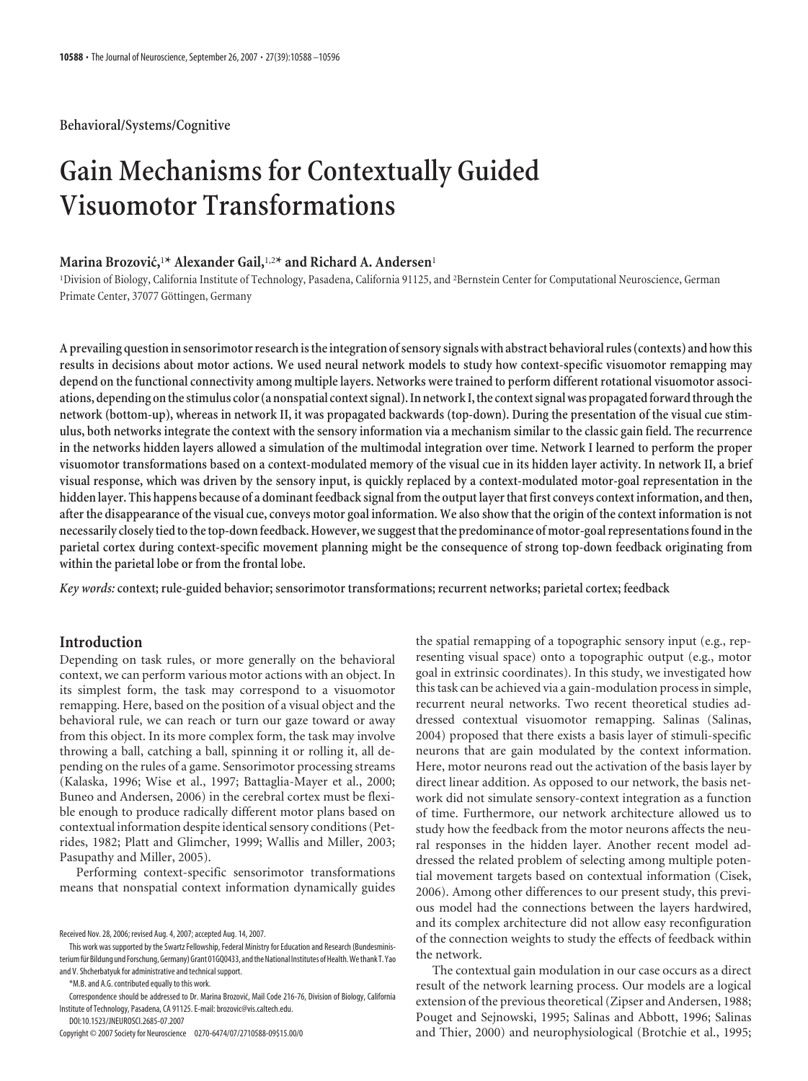**Behavioral/Systems/Cognitive**

# **Gain Mechanisms for Contextually Guided Visuomotor Transformations**

# **Marina Brozovic´,**<sup>1</sup> **\* Alexander Gail,**1,2**\* and Richard A. Andersen**<sup>1</sup>

<sup>1</sup>Division of Biology, California Institute of Technology, Pasadena, California 91125, and <sup>2</sup>Bernstein Center for Computational Neuroscience, German Primate Center, 37077 Göttingen, Germany

**A prevailing question in sensorimotor research isthe integration of sensory signals with abstract behavioral rules (contexts) and howthis results in decisions about motor actions. We used neural network models to study how context-specific visuomotor remapping may depend on the functional connectivity among multiple layers. Networks were trained to perform different rotational visuomotor associ**ations, depending on the stimulus color (a nonspatial context signal). In network I, the context signal was propagated forward through the **network (bottom-up), whereas in network II, it was propagated backwards (top-down). During the presentation of the visual cue stimulus, both networks integrate the context with the sensory information via a mechanism similar to the classic gain field. The recurrence in the networks hidden layers allowed a simulation of the multimodal integration over time. Network I learned to perform the proper visuomotor transformations based on a context-modulated memory of the visual cue in its hidden layer activity. In network II, a brief visual response, which was driven by the sensory input, is quickly replaced by a context-modulated motor-goal representation in the hidden layer. This happens because of a dominant feedback signal fromthe output layerthat first conveys context information, andthen, after the disappearance of the visual cue, conveys motor goal information. We also show that the origin of the context information is not necessarily closelytiedtothetop-downfeedback. However, we suggestthatthe predominance of motor-goal representationsfound inthe parietal cortex during context-specific movement planning might be the consequence of strong top-down feedback originating from within the parietal lobe or from the frontal lobe.**

*Key words:***context; rule-guided behavior; sensorimotor transformations; recurrent networks; parietal cortex; feedback**

# **Introduction**

Depending on task rules, or more generally on the behavioral context, we can perform various motor actions with an object. In its simplest form, the task may correspond to a visuomotor remapping. Here, based on the position of a visual object and the behavioral rule, we can reach or turn our gaze toward or away from this object. In its more complex form, the task may involve throwing a ball, catching a ball, spinning it or rolling it, all depending on the rules of a game. Sensorimotor processing streams (Kalaska, 1996; Wise et al., 1997; Battaglia-Mayer et al., 2000; Buneo and Andersen, 2006) in the cerebral cortex must be flexible enough to produce radically different motor plans based on contextual information despite identical sensory conditions (Petrides, 1982; Platt and Glimcher, 1999; Wallis and Miller, 2003; Pasupathy and Miller, 2005).

Performing context-specific sensorimotor transformations means that nonspatial context information dynamically guides

\*M.B. and A.G. contributed equally to this work.

DOI:10.1523/JNEUROSCI.2685-07.2007

Copyright © 2007 Society for Neuroscience 0270-6474/07/2710588-09\$15.00/0

the spatial remapping of a topographic sensory input (e.g., representing visual space) onto a topographic output (e.g., motor goal in extrinsic coordinates). In this study, we investigated how this task can be achieved via a gain-modulation process in simple, recurrent neural networks. Two recent theoretical studies addressed contextual visuomotor remapping. Salinas (Salinas, 2004) proposed that there exists a basis layer of stimuli-specific neurons that are gain modulated by the context information. Here, motor neurons read out the activation of the basis layer by direct linear addition. As opposed to our network, the basis network did not simulate sensory-context integration as a function of time. Furthermore, our network architecture allowed us to study how the feedback from the motor neurons affects the neural responses in the hidden layer. Another recent model addressed the related problem of selecting among multiple potential movement targets based on contextual information (Cisek, 2006). Among other differences to our present study, this previous model had the connections between the layers hardwired, and its complex architecture did not allow easy reconfiguration of the connection weights to study the effects of feedback within the network.

The contextual gain modulation in our case occurs as a direct result of the network learning process. Our models are a logical extension of the previous theoretical (Zipser and Andersen, 1988; Pouget and Sejnowski, 1995; Salinas and Abbott, 1996; Salinas and Thier, 2000) and neurophysiological (Brotchie et al., 1995;

Received Nov. 28, 2006; revised Aug. 4, 2007; accepted Aug. 14, 2007.

This work was supported by the Swartz Fellowship, Federal Ministry for Education and Research (Bundesministerium für Bildung und Forschung, Germany) Grant 01GQ0433, and the National Institutes of Health. We thank T. Yao and V. Shcherbatyuk for administrative and technical support.

Correspondence should be addressed to Dr. Marina Brozović, Mail Code 216-76, Division of Biology, California Institute of Technology, Pasadena, CA 91125. E-mail: brozovic@vis.caltech.edu.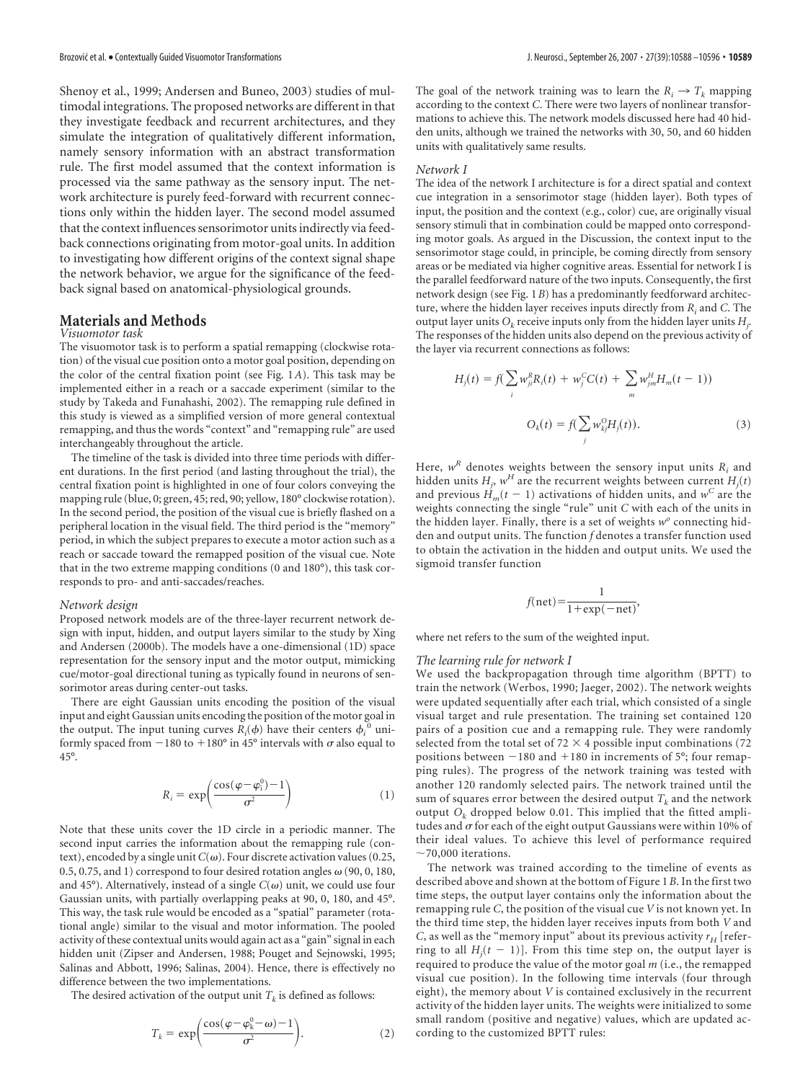Shenoy et al., 1999; Andersen and Buneo, 2003) studies of multimodal integrations. The proposed networks are different in that they investigate feedback and recurrent architectures, and they simulate the integration of qualitatively different information, namely sensory information with an abstract transformation rule. The first model assumed that the context information is processed via the same pathway as the sensory input. The network architecture is purely feed-forward with recurrent connections only within the hidden layer. The second model assumed that the context influences sensorimotor units indirectly via feedback connections originating from motor-goal units. In addition to investigating how different origins of the context signal shape the network behavior, we argue for the significance of the feedback signal based on anatomical-physiological grounds.

# **Materials and Methods**

#### *Visuomotor task*

The visuomotor task is to perform a spatial remapping (clockwise rotation) of the visual cue position onto a motor goal position, depending on the color of the central fixation point (see Fig. 1*A*). This task may be implemented either in a reach or a saccade experiment (similar to the study by Takeda and Funahashi, 2002). The remapping rule defined in this study is viewed as a simplified version of more general contextual remapping, and thus the words "context" and "remapping rule" are used interchangeably throughout the article.

The timeline of the task is divided into three time periods with different durations. In the first period (and lasting throughout the trial), the central fixation point is highlighted in one of four colors conveying the mapping rule (blue, 0; green, 45; red, 90; yellow, 180° clockwise rotation). In the second period, the position of the visual cue is briefly flashed on a peripheral location in the visual field. The third period is the "memory" period, in which the subject prepares to execute a motor action such as a reach or saccade toward the remapped position of the visual cue. Note that in the two extreme mapping conditions (0 and 180°), this task corresponds to pro- and anti-saccades/reaches.

#### *Network design*

Proposed network models are of the three-layer recurrent network design with input, hidden, and output layers similar to the study by Xing and Andersen (2000b). The models have a one-dimensional (1D) space representation for the sensory input and the motor output, mimicking cue/motor-goal directional tuning as typically found in neurons of sensorimotor areas during center-out tasks.

There are eight Gaussian units encoding the position of the visual input and eight Gaussian units encoding the position of the motor goal in the output. The input tuning curves  $\overline{R}_i(\phi)$  have their centers  $\phi_i^0$  uniformly spaced from  $-180$  to  $+180^{\circ}$  in 45° intervals with  $\sigma$  also equal to 45°.

$$
R_i = \exp\left(\frac{\cos(\varphi - \varphi_i^0) - 1}{\sigma^2}\right) \tag{1}
$$

Note that these units cover the 1D circle in a periodic manner. The second input carries the information about the remapping rule (context), encoded by a single unit  $C(\omega)$ . Four discrete activation values (0.25, 0.5, 0.75, and 1) correspond to four desired rotation angles  $\omega$  (90, 0, 180, and 45°). Alternatively, instead of a single  $C(\omega)$  unit, we could use four Gaussian units, with partially overlapping peaks at 90, 0, 180, and 45°. This way, the task rule would be encoded as a "spatial" parameter (rotational angle) similar to the visual and motor information. The pooled activity of these contextual units would again act as a "gain" signal in each hidden unit (Zipser and Andersen, 1988; Pouget and Sejnowski, 1995; Salinas and Abbott, 1996; Salinas, 2004). Hence, there is effectively no difference between the two implementations.

The desired activation of the output unit  $T_k$  is defined as follows:

$$
T_k = \exp\left(\frac{\cos(\varphi - \varphi_k^0 - \omega) - 1}{\sigma^2}\right).
$$
 (2)

The goal of the network training was to learn the  $R_i \rightarrow T_k$  mapping according to the context *C*. There were two layers of nonlinear transformations to achieve this. The network models discussed here had 40 hidden units, although we trained the networks with 30, 50, and 60 hidden units with qualitatively same results.

#### *Network I*

The idea of the network I architecture is for a direct spatial and context cue integration in a sensorimotor stage (hidden layer). Both types of input, the position and the context (e.g., color) cue, are originally visual sensory stimuli that in combination could be mapped onto corresponding motor goals. As argued in the Discussion, the context input to the sensorimotor stage could, in principle, be coming directly from sensory areas or be mediated via higher cognitive areas. Essential for network I is the parallel feedforward nature of the two inputs. Consequently, the first network design (see Fig. 1*B*) has a predominantly feedforward architecture, where the hidden layer receives inputs directly from *Ri* and *C*. The output layer units  $O_k$  receive inputs only from the hidden layer units  $H_{j\cdot}$ The responses of the hidden units also depend on the previous activity of the layer via recurrent connections as follows:

$$
H_j(t) = f(\sum_i w_{ji}^R R_i(t) + w_j^C C(t) + \sum_m w_{jm}^H H_m(t-1))
$$
  

$$
O_k(t) = f(\sum_j w_{kj}^O H_j(t)).
$$
 (3)

Here,  $w^R$  denotes weights between the sensory input units  $R_i$  and hidden units  $H_j$ ,  $w^H$  are the recurrent weights between current  $H_j(t)$ and previous  $H_m(t-1)$  activations of hidden units, and  $w^C$  are the weights connecting the single "rule" unit *C* with each of the units in the hidden layer. Finally, there is a set of weights *w<sup>o</sup>* connecting hidden and output units. The function *f* denotes a transfer function used to obtain the activation in the hidden and output units. We used the sigmoid transfer function

$$
f(\text{net}) = \frac{1}{1 + \exp(-\text{net})},
$$

where net refers to the sum of the weighted input.

#### *The learning rule for network I*

We used the backpropagation through time algorithm (BPTT) to train the network (Werbos, 1990; Jaeger, 2002). The network weights were updated sequentially after each trial, which consisted of a single visual target and rule presentation. The training set contained 120 pairs of a position cue and a remapping rule. They were randomly selected from the total set of 72  $\times$  4 possible input combinations (72 positions between  $-180$  and  $+180$  in increments of 5°; four remapping rules). The progress of the network training was tested with another 120 randomly selected pairs. The network trained until the sum of squares error between the desired output  $T_k$  and the network output  $O_k$  dropped below 0.01. This implied that the fitted amplitudes and  $\sigma$  for each of the eight output Gaussians were within 10% of their ideal values. To achieve this level of performance required  $\sim$ 70,000 iterations.

The network was trained according to the timeline of events as described above and shown at the bottom of Figure 1*B*. In the first two time steps, the output layer contains only the information about the remapping rule *C*, the position of the visual cue *V* is not known yet. In the third time step, the hidden layer receives inputs from both *V* and *C*, as well as the "memory input" about its previous activity  $r_H$  [referring to all  $H_j(t-1)$ ]. From this time step on, the output layer is required to produce the value of the motor goal *m* (i.e., the remapped visual cue position). In the following time intervals (four through eight), the memory about *V* is contained exclusively in the recurrent activity of the hidden layer units. The weights were initialized to some small random (positive and negative) values, which are updated according to the customized BPTT rules: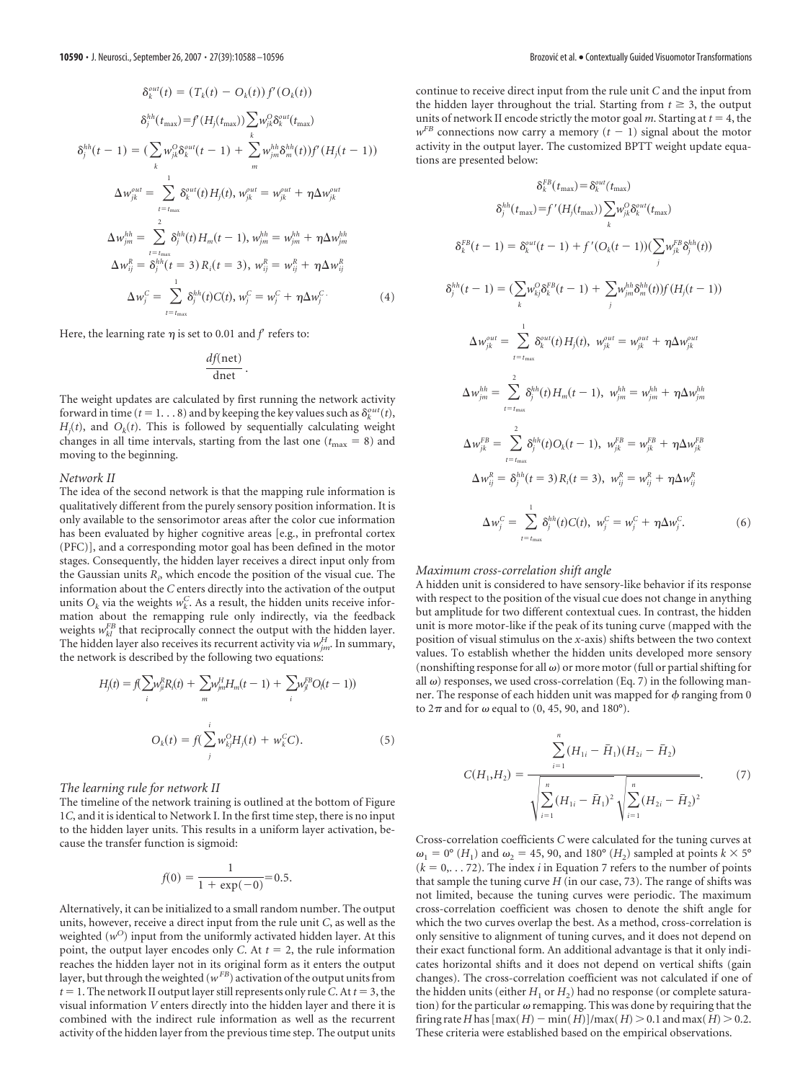$$
\delta_k^{out}(t) = (T_k(t) - O_k(t)) f'(O_k(t))
$$

$$
\delta_j^{hh}(t_{\max}) = f'(H_j(t_{\max})) \sum_k w_{jk}^O \delta_k^{out}(t_{\max})
$$

$$
\delta_j^{hh}(t-1) = (\sum_k w_{jk}^O \delta_k^{out}(t-1) + \sum_m w_{jm}^{hh} \delta_m^{hh}(t)) f'(H_j(t-1))
$$

$$
\Delta w_{jk}^{out} = \sum_{t=t_{\max}}^{1} \delta_k^{out}(t) H_j(t), w_{jk}^{out} = w_{jk}^{out} + \eta \Delta w_{jk}^{out}
$$

$$
\Delta w_{jm}^{hh} = \sum_{t=t_{\max}}^{2} \delta_j^{hh}(t) H_m(t-1), w_{jm}^{hh} = w_{jm}^{hh} + \eta \Delta w_{jm}^{hh}
$$

$$
\Delta w_{ij}^R = \delta_j^{hh}(t=3) R_i(t=3), w_{ij}^R = w_{ij}^R + \eta \Delta w_{ij}^R
$$

$$
\Delta w_j^C = \sum_{t=t_{\max}}^{1} \delta_j^{hh}(t) C(t), w_j^C = w_j^C + \eta \Delta w_j^C. \tag{4}
$$

Here, the learning rate  $\eta$  is set to 0.01 and  $f$  refers to:

$$
\frac{df(net)}{dnet}.
$$

The weight updates are calculated by first running the network activity forward in time ( $t = 1...8$ ) and by keeping the key values such as  $\delta_k^{out}(t)$ ,  $H_j(t)$ , and  $O_k(t)$ . This is followed by sequentially calculating weight changes in all time intervals, starting from the last one ( $t_{\text{max}} = 8$ ) and moving to the beginning.

#### *Network II*

The idea of the second network is that the mapping rule information is qualitatively different from the purely sensory position information. It is only available to the sensorimotor areas after the color cue information has been evaluated by higher cognitive areas [e.g., in prefrontal cortex (PFC)], and a corresponding motor goal has been defined in the motor stages. Consequently, the hidden layer receives a direct input only from the Gaussian units *Ri* , which encode the position of the visual cue. The information about the *C* enters directly into the activation of the output units  $O_k$  via the weights  $w_k^C$ . As a result, the hidden units receive information about the remapping rule only indirectly, via the feedback weights  $w_{kl}^{FB}$  that reciprocally connect the output with the hidden layer. The hidden layer also receives its recurrent activity via  $w_{jm}^H$ . In summary, the network is described by the following two equations:

$$
H_j(t) = f(\sum_{i} w_{ji}^R R_i(t) + \sum_{m} w_{jm}^H H_m(t-1) + \sum_{i} w_{ji}^{FB} O_i(t-1))
$$
  

$$
O_k(t) = f(\sum_{j} w_{kj}^O H_j(t) + w_k^C C).
$$
 (5)

## *The learning rule for network II*

The timeline of the network training is outlined at the bottom of Figure 1*C*, and it is identical to Network I. In the first time step, there is no input to the hidden layer units. This results in a uniform layer activation, because the transfer function is sigmoid:

$$
f(0) = \frac{1}{1 + \exp(-0)} = 0.5.
$$

Alternatively, it can be initialized to a small random number. The output units, however, receive a direct input from the rule unit *C*, as well as the weighted (*wO*) input from the uniformly activated hidden layer. At this point, the output layer encodes only *C*. At  $t = 2$ , the rule information reaches the hidden layer not in its original form as it enters the output layer, but through the weighted (*wFB*) activation of the output units from  $t = 1$ . The network II output layer still represents only rule *C*. At  $t = 3$ , the visual information *V* enters directly into the hidden layer and there it is combined with the indirect rule information as well as the recurrent activity of the hidden layer from the previous time step. The output units

continue to receive direct input from the rule unit *C* and the input from the hidden layer throughout the trial. Starting from  $t \geq 3$ , the output units of network II encode strictly the motor goal  $m$ . Starting at  $t = 4$ , the  $w<sup>FB</sup>$  connections now carry a memory  $(t - 1)$  signal about the motor activity in the output layer. The customized BPTT weight update equations are presented below:

$$
\delta_k^{FB}(t_{\text{max}}) = \delta_k^{out}(t_{\text{max}})
$$

$$
\delta_j^{hh}(t_{\text{max}}) = f'(H_j(t_{\text{max}})) \sum_k w_{jk}^O \delta_k^{out}(t_{\text{max}})
$$

$$
\delta_k^{FB}(t-1) = \delta_k^{out}(t-1) + f'(O_k(t-1)) (\sum_j w_{jk}^{FB} \delta_j^{hh}(t))
$$

$$
\delta_j^{hh}(t-1) = (\sum_k w_{kj}^O \delta_k^{FB}(t-1) + \sum_j w_{jm}^{hh} \delta_m^{hh}(t)) f(H_j(t-1))
$$

$$
\Delta w_{jk}^{out} = \sum_{t=t_{\text{max}}}^{1} \delta_k^{out}(t) H_j(t), \quad w_{jk}^{out} = w_{jk}^{out} + \eta \Delta w_{jk}^{out}
$$

$$
\Delta w_{jm}^{hh} = \sum_{t=t_{\text{max}}}^{2} \delta_j^{hh}(t) H_m(t-1), \quad w_{jm}^{hh} = w_{jm}^{hh} + \eta \Delta w_{jm}^{hh}
$$

$$
\Delta w_{jk}^{FB} = \sum_{t=t_{\text{max}}}^{2} \delta_j^{hh}(t) O_k(t-1), \quad w_{jk}^{FB} = w_{jk}^{FB} + \eta \Delta w_{jk}^{FB}
$$

$$
\Delta w_{ij}^R = \delta_j^{hh}(t=3) R_i(t=3), \quad w_{ij}^R = w_{ij}^R + \eta \Delta w_{ij}^R
$$

$$
\Delta w_j^C = \sum_{t=t_{\text{max}}}^{1} \delta_j^{hh}(t) C(t), \quad w_j^C = w_j^C + \eta \Delta w_j^C. \tag{6}
$$

#### *Maximum cross-correlation shift angle*

A hidden unit is considered to have sensory-like behavior if its response with respect to the position of the visual cue does not change in anything but amplitude for two different contextual cues. In contrast, the hidden unit is more motor-like if the peak of its tuning curve (mapped with the position of visual stimulus on the *x*-axis) shifts between the two context values. To establish whether the hidden units developed more sensory (nonshifting response for all  $\omega$ ) or more motor (full or partial shifting for all  $\omega$ ) responses, we used cross-correlation (Eq. 7) in the following manner. The response of each hidden unit was mapped for  $\phi$  ranging from 0 to  $2\pi$  and for  $\omega$  equal to (0, 45, 90, and 180°).

$$
C(H_1, H_2) = \frac{\sum_{i=1}^{n} (H_{1i} - \bar{H}_1)(H_{2i} - \bar{H}_2)}{\sqrt{\sum_{i=1}^{n} (H_{1i} - \bar{H}_1)^2} \sqrt{\sum_{i=1}^{n} (H_{2i} - \bar{H}_2)^2}}.
$$
(7)

Cross-correlation coefficients *C* were calculated for the tuning curves at  $\omega_1 = 0^\circ$  (*H*<sub>1</sub>) and  $\omega_2 = 45$ , 90, and 180° (*H*<sub>2</sub>) sampled at points  $k \times 5^\circ$  $(k = 0, \ldots, 72)$ . The index *i* in Equation 7 refers to the number of points that sample the tuning curve *H* (in our case, 73). The range of shifts was not limited, because the tuning curves were periodic. The maximum cross-correlation coefficient was chosen to denote the shift angle for which the two curves overlap the best. As a method, cross-correlation is only sensitive to alignment of tuning curves, and it does not depend on their exact functional form. An additional advantage is that it only indicates horizontal shifts and it does not depend on vertical shifts (gain changes). The cross-correlation coefficient was not calculated if one of the hidden units (either  $H_1$  or  $H_2$ ) had no response (or complete saturation) for the particular  $\omega$  remapping. This was done by requiring that the firing rate *H* has  ${\lfloor \max(H) - \min(H) \rfloor}/{\max(H)} > 0.1$  and  ${\max(H)} > 0.2$ . These criteria were established based on the empirical observations.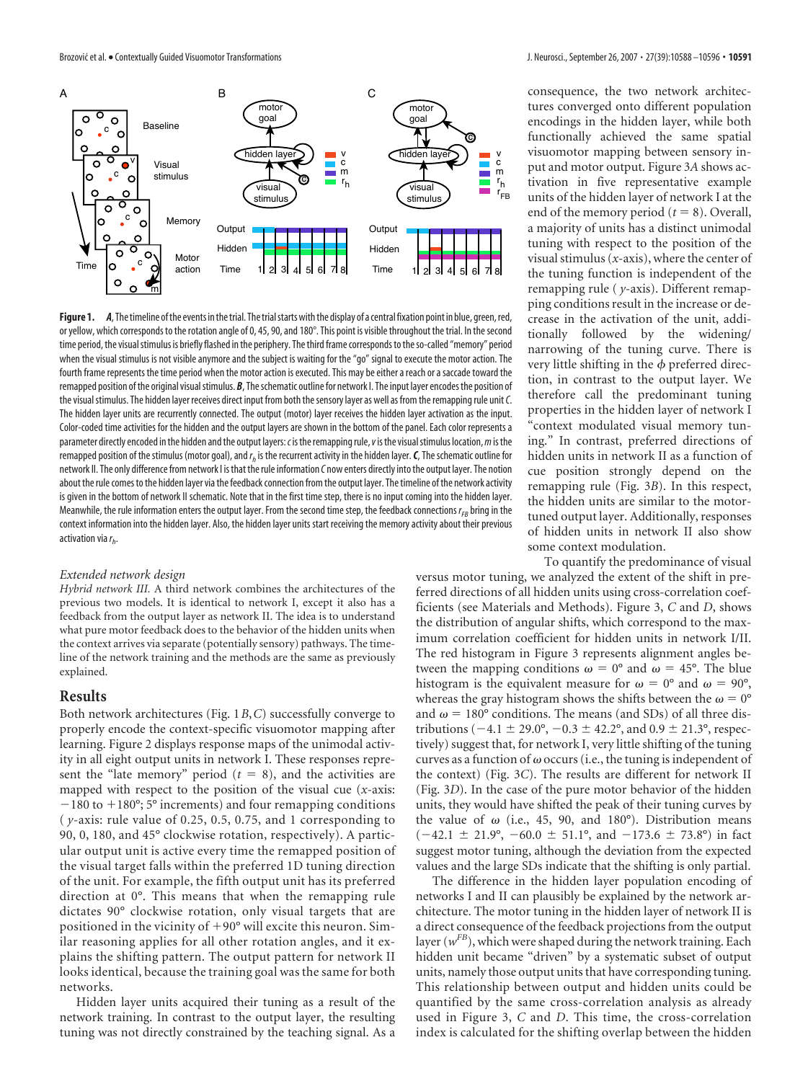

Figure 1. A, The timeline of the events in the trial. The trial starts with the display of a central fixation point in blue, green, red, or yellow, which corresponds to the rotation angle of 0, 45, 90, and 180°. This point is visible throughout the trial. In the second time period, the visual stimulus is briefly flashed in the periphery. The third frame corresponds to the so-called "memory" period when the visual stimulus is not visible anymore and the subject is waiting for the "go" signal to execute the motor action. The fourth frame represents the time period when the motor action is executed. This may be either a reach or a saccade toward the remapped position of the original visual stimulus. **B**, The schematic outline for network I. The input layer encodes the position of the visual stimulus. The hidden layer receives direct input from both the sensory layer as well as from the remapping rule unit C. The hidden layer units are recurrently connected. The output (motor) layer receives the hidden layer activation as the input. Color-coded time activities for the hidden and the output layers are shown in the bottom of the panel. Each color represents a parameter directly encoded inthe hidden andthe output layers:*c*isthe remapping rule,*v*isthe visualstimulus location,*m*isthe remapped position of the stimulus (motor goal), and  $r_h$  is the recurrent activity in the hidden layer. C, The schematic outline for network II. The only difference from network I is that the rule information *C* now enters directly into the output layer. The notion about the rule comes to the hidden layer via the feedback connection from the output layer. The timeline of the network activity is given in the bottom of network II schematic. Note that in the first time step, there is no input coming into the hidden layer. Meanwhile, the rule information enters the output layer. From the second time step, the feedback connections  $r_{FB}$  bring in the context information into the hidden layer. Also, the hidden layer units start receiving the memory activity about their previous activation via*rh*.

#### *Extended network design*

*Hybrid network III.* A third network combines the architectures of the previous two models. It is identical to network I, except it also has a feedback from the output layer as network II. The idea is to understand what pure motor feedback does to the behavior of the hidden units when the context arrives via separate (potentially sensory) pathways. The timeline of the network training and the methods are the same as previously explained.

# **Results**

Both network architectures (Fig. 1*B*,*C*) successfully converge to properly encode the context-specific visuomotor mapping after learning. Figure 2 displays response maps of the unimodal activity in all eight output units in network I. These responses represent the "late memory" period  $(t = 8)$ , and the activities are mapped with respect to the position of the visual cue (*x*-axis:  $-180$  to  $+180^\circ$ ; 5° increments) and four remapping conditions ( *y*-axis: rule value of 0.25, 0.5, 0.75, and 1 corresponding to 90, 0, 180, and 45° clockwise rotation, respectively). A particular output unit is active every time the remapped position of the visual target falls within the preferred 1D tuning direction of the unit. For example, the fifth output unit has its preferred direction at 0°. This means that when the remapping rule dictates 90° clockwise rotation, only visual targets that are positioned in the vicinity of  $+90^{\circ}$  will excite this neuron. Similar reasoning applies for all other rotation angles, and it explains the shifting pattern. The output pattern for network II looks identical, because the training goal was the same for both networks.

Hidden layer units acquired their tuning as a result of the network training. In contrast to the output layer, the resulting tuning was not directly constrained by the teaching signal. As a consequence, the two network architectures converged onto different population encodings in the hidden layer, while both functionally achieved the same spatial visuomotor mapping between sensory input and motor output. Figure 3*A* shows activation in five representative example units of the hidden layer of network I at the end of the memory period  $(t = 8)$ . Overall, a majority of units has a distinct unimodal tuning with respect to the position of the visual stimulus (*x*-axis), where the center of the tuning function is independent of the remapping rule ( *y*-axis). Different remapping conditions result in the increase or decrease in the activation of the unit, additionally followed by the widening/ narrowing of the tuning curve. There is very little shifting in the  $\phi$  preferred direction, in contrast to the output layer. We therefore call the predominant tuning properties in the hidden layer of network I "context modulated visual memory tuning." In contrast, preferred directions of hidden units in network II as a function of cue position strongly depend on the remapping rule (Fig. 3*B*). In this respect, the hidden units are similar to the motortuned output layer. Additionally, responses of hidden units in network II also show some context modulation.

To quantify the predominance of visual versus motor tuning, we analyzed the extent of the shift in preferred directions of all hidden units using cross-correlation coefficients (see Materials and Methods). Figure 3, *C* and *D*, shows the distribution of angular shifts, which correspond to the maximum correlation coefficient for hidden units in network I/II. The red histogram in Figure 3 represents alignment angles between the mapping conditions  $\omega = 0^{\circ}$  and  $\omega = 45^{\circ}$ . The blue histogram is the equivalent measure for  $\omega = 0^{\circ}$  and  $\omega = 90^{\circ}$ , whereas the gray histogram shows the shifts between the  $\omega = 0^{\circ}$ and  $\omega = 180^\circ$  conditions. The means (and SDs) of all three distributions (-4.1  $\pm$  29.0°, -0.3  $\pm$  42.2°, and 0.9  $\pm$  21.3°, respectively) suggest that, for network I, very little shifting of the tuning curves as a function of  $\omega$  occurs (i.e., the tuning is independent of the context) (Fig. 3*C*). The results are different for network II (Fig. 3*D*). In the case of the pure motor behavior of the hidden units, they would have shifted the peak of their tuning curves by the value of  $\omega$  (i.e., 45, 90, and 180°). Distribution means  $(-42.1 \pm 21.9^{\circ}, -60.0 \pm 51.1^{\circ}, \text{ and } -173.6 \pm 73.8^{\circ})$  in fact suggest motor tuning, although the deviation from the expected values and the large SDs indicate that the shifting is only partial.

The difference in the hidden layer population encoding of networks I and II can plausibly be explained by the network architecture. The motor tuning in the hidden layer of network II is a direct consequence of the feedback projections from the output layer (*wFB*), which were shaped during the network training. Each hidden unit became "driven" by a systematic subset of output units, namely those output units that have corresponding tuning. This relationship between output and hidden units could be quantified by the same cross-correlation analysis as already used in Figure 3, *C* and *D*. This time, the cross-correlation index is calculated for the shifting overlap between the hidden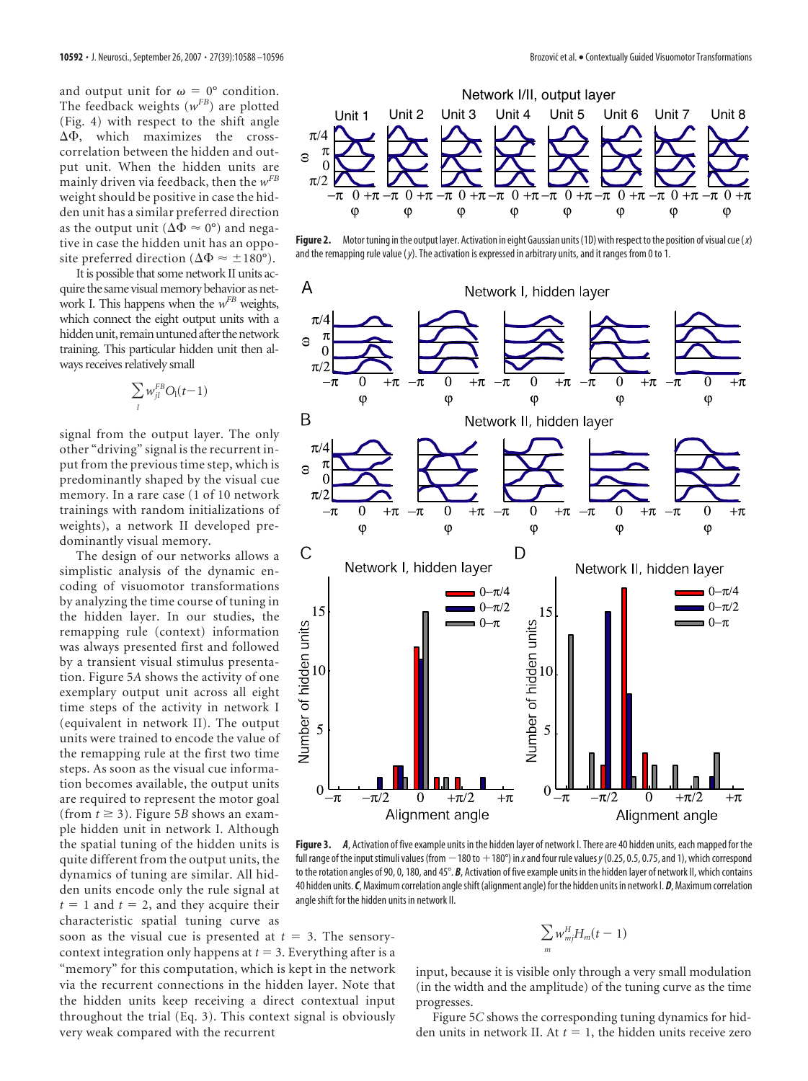and output unit for  $\omega = 0^{\circ}$  condition. The feedback weights (*wFB*) are plotted (Fig. 4) with respect to the shift angle  $\Delta\Phi$ , which maximizes the crosscorrelation between the hidden and output unit. When the hidden units are mainly driven via feedback, then the *wFB* weight should be positive in case the hidden unit has a similar preferred direction as the output unit ( $\Delta \Phi \approx 0^{\circ}$ ) and negative in case the hidden unit has an opposite preferred direction ( $\Delta \Phi \approx \pm 180^{\circ}$ ).

It is possible that some network II units acquire the same visual memory behavior as network I. This happens when the *wFB* weights, which connect the eight output units with a hidden unit, remain untuned after the network training. This particular hidden unit then always receives relatively small

$$
\sum_{l} w_{jl}^{FB} O_l(t-1)
$$

signal from the output layer. The only other "driving" signal is the recurrent input from the previous time step, which is predominantly shaped by the visual cue memory. In a rare case (1 of 10 network trainings with random initializations of weights), a network II developed predominantly visual memory.

The design of our networks allows a simplistic analysis of the dynamic encoding of visuomotor transformations by analyzing the time course of tuning in the hidden layer. In our studies, the remapping rule (context) information was always presented first and followed by a transient visual stimulus presentation. Figure 5*A* shows the activity of one exemplary output unit across all eight time steps of the activity in network I (equivalent in network II). The output units were trained to encode the value of the remapping rule at the first two time steps. As soon as the visual cue information becomes available, the output units are required to represent the motor goal (from  $t \ge 3$ ). Figure 5*B* shows an example hidden unit in network I. Although the spatial tuning of the hidden units is quite different from the output units, the dynamics of tuning are similar. All hidden units encode only the rule signal at  $t = 1$  and  $t = 2$ , and they acquire their characteristic spatial tuning curve as

soon as the visual cue is presented at  $t = 3$ . The sensorycontext integration only happens at  $t = 3$ . Everything after is a "memory" for this computation, which is kept in the network via the recurrent connections in the hidden layer. Note that the hidden units keep receiving a direct contextual input throughout the trial (Eq. 3). This context signal is obviously very weak compared with the recurrent



**Figure 2.** Motortuning inthe output layer. Activation in eight Gaussian units(1D) with respecttothe position of visual cue(*x*) and the remapping rule value (*y*). The activation is expressed in arbitrary units, and it ranges from 0 to 1.



**Figure 3.** *A*, Activation of five example units in the hidden layer of network I. There are 40 hidden units, each mapped for the full range of the input stimuli values (from  $-180$  to  $+180^\circ$ ) in *x* and four rule values y (0.25, 0.5, 0.75, and 1), which correspond to the rotation angles of 90, 0, 180, and 45°. *B*, Activation of five example units in the hidden layer of network II, which contains 40 hidden units.*C*, Maximum correlation angleshift (alignment angle) for the hidden units in network I. *D*, Maximum correlation angle shift for the hidden units in network II.

$$
\sum_{m} w_{mj}^H H_m(t-1)
$$

input, because it is visible only through a very small modulation (in the width and the amplitude) of the tuning curve as the time progresses.

Figure 5*C* shows the corresponding tuning dynamics for hidden units in network II. At  $t = 1$ , the hidden units receive zero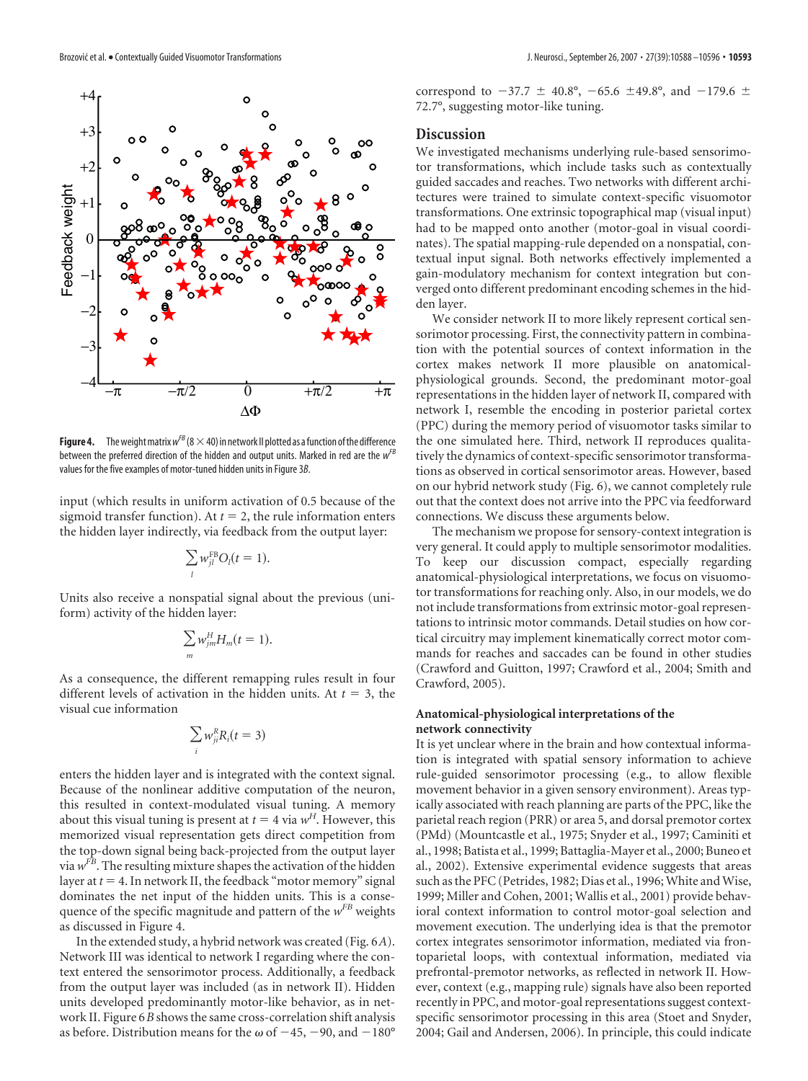

**Figure 4.** The weight matrix  $w^{FB}$  (8  $\times$  40) in network II plotted as a function of the difference between the preferred direction of the hidden and output units. Marked in red are the *wFB* values for the five examples of motor-tuned hidden units in Figure 3*B*.

input (which results in uniform activation of 0.5 because of the sigmoid transfer function). At  $t = 2$ , the rule information enters the hidden layer indirectly, via feedback from the output layer:

$$
\sum_l w_{jl}^{\text{FB}} O_l(t=1).
$$

Units also receive a nonspatial signal about the previous (uniform) activity of the hidden layer:

$$
\sum_{m} w_{jm}^{H} H_{m}(t=1).
$$

As a consequence, the different remapping rules result in four different levels of activation in the hidden units. At  $t = 3$ , the visual cue information

$$
\sum_{i} w_{ji}^{R} R_i(t=3)
$$

enters the hidden layer and is integrated with the context signal. Because of the nonlinear additive computation of the neuron, this resulted in context-modulated visual tuning. A memory about this visual tuning is present at  $t = 4$  via  $w<sup>H</sup>$ . However, this memorized visual representation gets direct competition from the top-down signal being back-projected from the output layer via *wFB*. The resulting mixture shapes the activation of the hidden layer at  $t = 4$ . In network II, the feedback "motor memory" signal dominates the net input of the hidden units. This is a consequence of the specific magnitude and pattern of the  $\boldsymbol{w}^{FB}$  weights as discussed in Figure 4.

In the extended study, a hybrid network was created (Fig. 6*A*). Network III was identical to network I regarding where the context entered the sensorimotor process. Additionally, a feedback from the output layer was included (as in network II). Hidden units developed predominantly motor-like behavior, as in network II. Figure 6*B* shows the same cross-correlation shift analysis as before. Distribution means for the  $\omega$  of  $-45$ ,  $-90$ , and  $-180^\circ$ 

correspond to  $-37.7 \pm 40.8^{\circ}$ ,  $-65.6 \pm 49.8^{\circ}$ , and  $-179.6 \pm$ 72.7°, suggesting motor-like tuning.

# **Discussion**

We investigated mechanisms underlying rule-based sensorimotor transformations, which include tasks such as contextually guided saccades and reaches. Two networks with different architectures were trained to simulate context-specific visuomotor transformations. One extrinsic topographical map (visual input) had to be mapped onto another (motor-goal in visual coordinates). The spatial mapping-rule depended on a nonspatial, contextual input signal. Both networks effectively implemented a gain-modulatory mechanism for context integration but converged onto different predominant encoding schemes in the hidden layer.

We consider network II to more likely represent cortical sensorimotor processing. First, the connectivity pattern in combination with the potential sources of context information in the cortex makes network II more plausible on anatomicalphysiological grounds. Second, the predominant motor-goal representations in the hidden layer of network II, compared with network I, resemble the encoding in posterior parietal cortex (PPC) during the memory period of visuomotor tasks similar to the one simulated here. Third, network II reproduces qualitatively the dynamics of context-specific sensorimotor transformations as observed in cortical sensorimotor areas. However, based on our hybrid network study (Fig. 6), we cannot completely rule out that the context does not arrive into the PPC via feedforward connections. We discuss these arguments below.

The mechanism we propose for sensory-context integration is very general. It could apply to multiple sensorimotor modalities. To keep our discussion compact, especially regarding anatomical-physiological interpretations, we focus on visuomotor transformations for reaching only. Also, in our models, we do not include transformations from extrinsic motor-goal representations to intrinsic motor commands. Detail studies on how cortical circuitry may implement kinematically correct motor commands for reaches and saccades can be found in other studies (Crawford and Guitton, 1997; Crawford et al., 2004; Smith and Crawford, 2005).

# **Anatomical-physiological interpretations of the network connectivity**

It is yet unclear where in the brain and how contextual information is integrated with spatial sensory information to achieve rule-guided sensorimotor processing (e.g., to allow flexible movement behavior in a given sensory environment). Areas typically associated with reach planning are parts of the PPC, like the parietal reach region (PRR) or area 5, and dorsal premotor cortex (PMd) (Mountcastle et al., 1975; Snyder et al., 1997; Caminiti et al., 1998; Batista et al., 1999; Battaglia-Mayer et al., 2000; Buneo et al., 2002). Extensive experimental evidence suggests that areas such as the PFC (Petrides, 1982; Dias et al., 1996; White and Wise, 1999; Miller and Cohen, 2001; Wallis et al., 2001) provide behavioral context information to control motor-goal selection and movement execution. The underlying idea is that the premotor cortex integrates sensorimotor information, mediated via frontoparietal loops, with contextual information, mediated via prefrontal-premotor networks, as reflected in network II. However, context (e.g., mapping rule) signals have also been reported recently in PPC, and motor-goal representations suggest contextspecific sensorimotor processing in this area (Stoet and Snyder, 2004; Gail and Andersen, 2006). In principle, this could indicate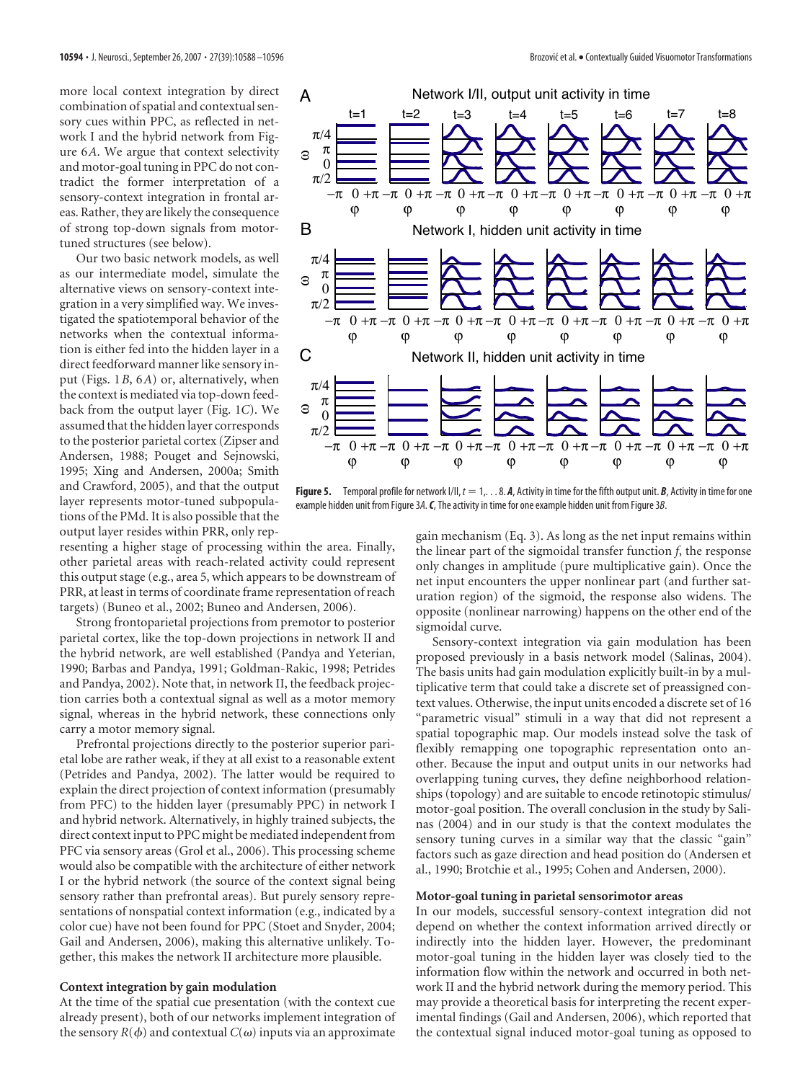more local context integration by direct combination of spatial and contextual sensory cues within PPC, as reflected in network I and the hybrid network from Figure 6*A*. We argue that context selectivity and motor-goal tuning in PPC do not contradict the former interpretation of a sensory-context integration in frontal areas. Rather, they are likely the consequence of strong top-down signals from motortuned structures (see below).

Our two basic network models, as well as our intermediate model, simulate the alternative views on sensory-context integration in a very simplified way. We investigated the spatiotemporal behavior of the networks when the contextual information is either fed into the hidden layer in a direct feedforward manner like sensory input (Figs. 1*B*, 6*A*) or, alternatively, when the context is mediated via top-down feedback from the output layer (Fig. 1*C*). We assumed that the hidden layer corresponds to the posterior parietal cortex (Zipser and Andersen, 1988; Pouget and Sejnowski, 1995; Xing and Andersen, 2000a; Smith and Crawford, 2005), and that the output layer represents motor-tuned subpopulations of the PMd. It is also possible that the output layer resides within PRR, only rep-

resenting a higher stage of processing within the area. Finally, other parietal areas with reach-related activity could represent this output stage (e.g., area 5, which appears to be downstream of PRR, at least in terms of coordinate frame representation of reach targets) (Buneo et al., 2002; Buneo and Andersen, 2006).

Strong frontoparietal projections from premotor to posterior parietal cortex, like the top-down projections in network II and the hybrid network, are well established (Pandya and Yeterian, 1990; Barbas and Pandya, 1991; Goldman-Rakic, 1998; Petrides and Pandya, 2002). Note that, in network II, the feedback projection carries both a contextual signal as well as a motor memory signal, whereas in the hybrid network, these connections only carry a motor memory signal.

Prefrontal projections directly to the posterior superior parietal lobe are rather weak, if they at all exist to a reasonable extent (Petrides and Pandya, 2002). The latter would be required to explain the direct projection of context information (presumably from PFC) to the hidden layer (presumably PPC) in network I and hybrid network. Alternatively, in highly trained subjects, the direct context input to PPC might be mediated independent from PFC via sensory areas (Grol et al., 2006). This processing scheme would also be compatible with the architecture of either network I or the hybrid network (the source of the context signal being sensory rather than prefrontal areas). But purely sensory representations of nonspatial context information (e.g., indicated by a color cue) have not been found for PPC (Stoet and Snyder, 2004; Gail and Andersen, 2006), making this alternative unlikely. Together, this makes the network II architecture more plausible.

# **Context integration by gain modulation**

At the time of the spatial cue presentation (with the context cue already present), both of our networks implement integration of the sensory  $R(\phi)$  and contextual  $C(\omega)$  inputs via an approximate



**Figure 5.** Temporal profile for network  $I/I$ ,  $t = 1, \ldots, 8$ . **A**, Activity in time for the fifth output unit. **B**, Activity in time for one example hidden unit from Figure 3*A*.*C*, The activity in time for one example hidden unit from Figure 3*B*.

gain mechanism (Eq. 3). As long as the net input remains within the linear part of the sigmoidal transfer function *f*, the response only changes in amplitude (pure multiplicative gain). Once the net input encounters the upper nonlinear part (and further saturation region) of the sigmoid, the response also widens. The opposite (nonlinear narrowing) happens on the other end of the sigmoidal curve.

Sensory-context integration via gain modulation has been proposed previously in a basis network model (Salinas, 2004). The basis units had gain modulation explicitly built-in by a multiplicative term that could take a discrete set of preassigned context values. Otherwise, the input units encoded a discrete set of 16 "parametric visual" stimuli in a way that did not represent a spatial topographic map. Our models instead solve the task of flexibly remapping one topographic representation onto another. Because the input and output units in our networks had overlapping tuning curves, they define neighborhood relationships (topology) and are suitable to encode retinotopic stimulus/ motor-goal position. The overall conclusion in the study by Salinas (2004) and in our study is that the context modulates the sensory tuning curves in a similar way that the classic "gain" factors such as gaze direction and head position do (Andersen et al., 1990; Brotchie et al., 1995; Cohen and Andersen, 2000).

#### **Motor-goal tuning in parietal sensorimotor areas**

In our models, successful sensory-context integration did not depend on whether the context information arrived directly or indirectly into the hidden layer. However, the predominant motor-goal tuning in the hidden layer was closely tied to the information flow within the network and occurred in both network II and the hybrid network during the memory period. This may provide a theoretical basis for interpreting the recent experimental findings (Gail and Andersen, 2006), which reported that the contextual signal induced motor-goal tuning as opposed to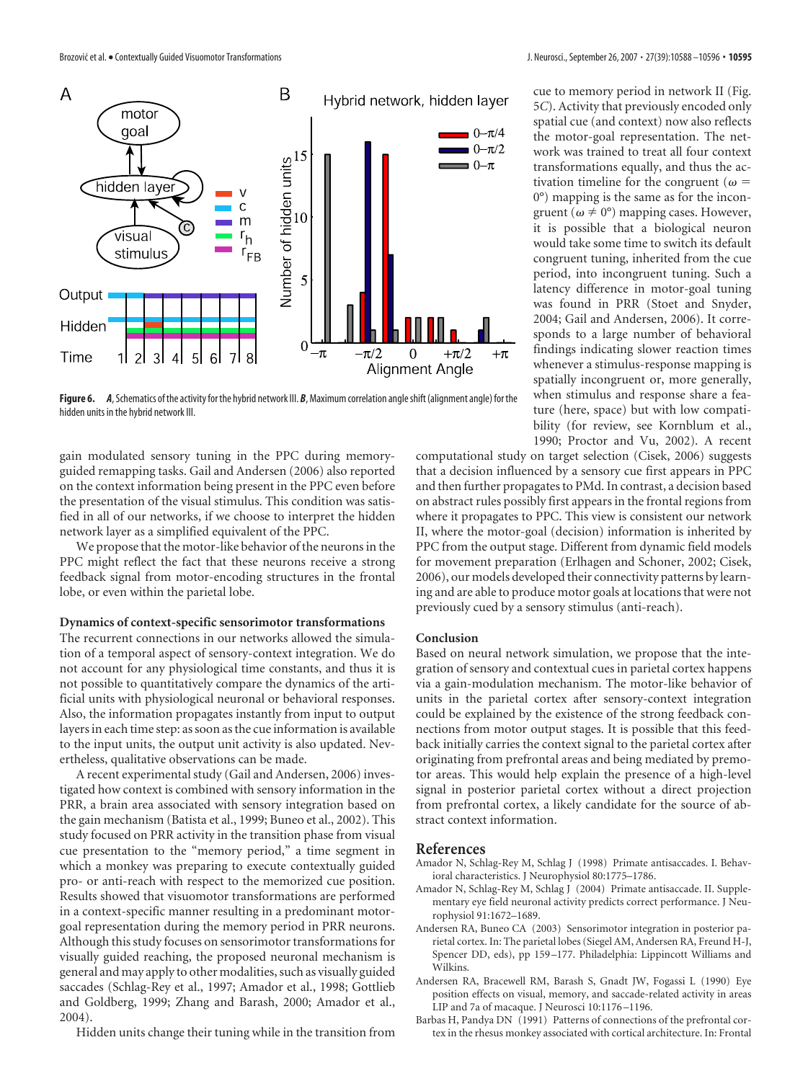

**Figure 6.** *A*, Schematics of the activity for the hybrid network III. *B*, Maximum correlation angleshift (alignment angle) for the hidden units in the hybrid network III.

gain modulated sensory tuning in the PPC during memoryguided remapping tasks. Gail and Andersen (2006) also reported on the context information being present in the PPC even before the presentation of the visual stimulus. This condition was satisfied in all of our networks, if we choose to interpret the hidden network layer as a simplified equivalent of the PPC.

We propose that the motor-like behavior of the neurons in the PPC might reflect the fact that these neurons receive a strong feedback signal from motor-encoding structures in the frontal lobe, or even within the parietal lobe.

## **Dynamics of context-specific sensorimotor transformations**

The recurrent connections in our networks allowed the simulation of a temporal aspect of sensory-context integration. We do not account for any physiological time constants, and thus it is not possible to quantitatively compare the dynamics of the artificial units with physiological neuronal or behavioral responses. Also, the information propagates instantly from input to output layers in each time step: as soon as the cue information is available to the input units, the output unit activity is also updated. Nevertheless, qualitative observations can be made.

A recent experimental study (Gail and Andersen, 2006) investigated how context is combined with sensory information in the PRR, a brain area associated with sensory integration based on the gain mechanism (Batista et al., 1999; Buneo et al., 2002). This study focused on PRR activity in the transition phase from visual cue presentation to the "memory period," a time segment in which a monkey was preparing to execute contextually guided pro- or anti-reach with respect to the memorized cue position. Results showed that visuomotor transformations are performed in a context-specific manner resulting in a predominant motorgoal representation during the memory period in PRR neurons. Although this study focuses on sensorimotor transformations for visually guided reaching, the proposed neuronal mechanism is general and may apply to other modalities, such as visually guided saccades (Schlag-Rey et al., 1997; Amador et al., 1998; Gottlieb and Goldberg, 1999; Zhang and Barash, 2000; Amador et al., 2004).

Hidden units change their tuning while in the transition from

cue to memory period in network II (Fig. 5*C*). Activity that previously encoded only spatial cue (and context) now also reflects the motor-goal representation. The network was trained to treat all four context transformations equally, and thus the activation timeline for the congruent ( $\omega$  = 0°) mapping is the same as for the incongruent ( $\omega \neq 0^{\circ}$ ) mapping cases. However, it is possible that a biological neuron would take some time to switch its default congruent tuning, inherited from the cue period, into incongruent tuning. Such a latency difference in motor-goal tuning was found in PRR (Stoet and Snyder, 2004; Gail and Andersen, 2006). It corresponds to a large number of behavioral findings indicating slower reaction times whenever a stimulus-response mapping is spatially incongruent or, more generally, when stimulus and response share a feature (here, space) but with low compatibility (for review, see Kornblum et al., 1990; Proctor and Vu, 2002). A recent

computational study on target selection (Cisek, 2006) suggests that a decision influenced by a sensory cue first appears in PPC and then further propagates to PMd. In contrast, a decision based on abstract rules possibly first appears in the frontal regions from where it propagates to PPC. This view is consistent our network II, where the motor-goal (decision) information is inherited by PPC from the output stage. Different from dynamic field models for movement preparation (Erlhagen and Schoner, 2002; Cisek, 2006), our models developed their connectivity patterns by learning and are able to produce motor goals at locations that were not previously cued by a sensory stimulus (anti-reach).

# **Conclusion**

Based on neural network simulation, we propose that the integration of sensory and contextual cues in parietal cortex happens via a gain-modulation mechanism. The motor-like behavior of units in the parietal cortex after sensory-context integration could be explained by the existence of the strong feedback connections from motor output stages. It is possible that this feedback initially carries the context signal to the parietal cortex after originating from prefrontal areas and being mediated by premotor areas. This would help explain the presence of a high-level signal in posterior parietal cortex without a direct projection from prefrontal cortex, a likely candidate for the source of abstract context information.

#### **References**

- Amador N, Schlag-Rey M, Schlag J (1998) Primate antisaccades. I. Behavioral characteristics. J Neurophysiol 80:1775–1786.
- Amador N, Schlag-Rey M, Schlag J (2004) Primate antisaccade. II. Supplementary eye field neuronal activity predicts correct performance. J Neurophysiol 91:1672–1689.
- Andersen RA, Buneo CA (2003) Sensorimotor integration in posterior parietal cortex. In: The parietal lobes (Siegel AM, Andersen RA, Freund H-J, Spencer DD, eds), pp 159-177. Philadelphia: Lippincott Williams and Wilkins.
- Andersen RA, Bracewell RM, Barash S, Gnadt JW, Fogassi L (1990) Eye position effects on visual, memory, and saccade-related activity in areas LIP and 7a of macaque. J Neurosci 10:1176 –1196.
- Barbas H, Pandya DN (1991) Patterns of connections of the prefrontal cortex in the rhesus monkey associated with cortical architecture. In: Frontal